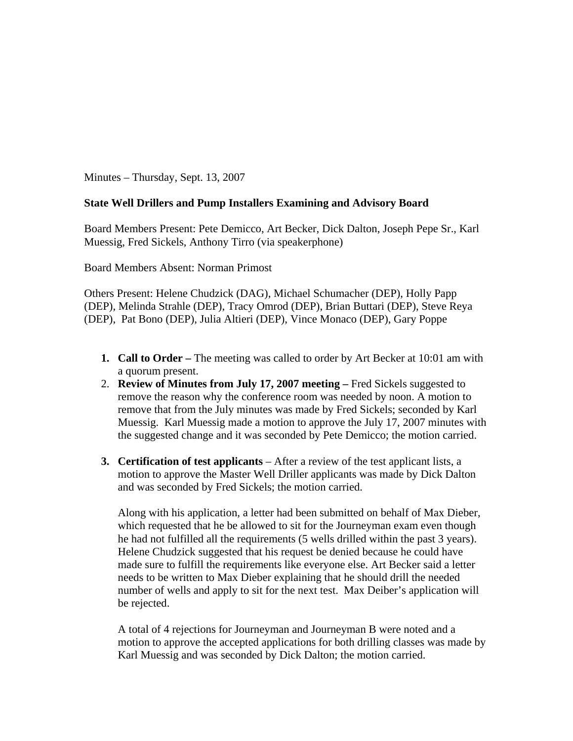Minutes – Thursday, Sept. 13, 2007

## **State Well Drillers and Pump Installers Examining and Advisory Board**

Board Members Present: Pete Demicco, Art Becker, Dick Dalton, Joseph Pepe Sr., Karl Muessig, Fred Sickels, Anthony Tirro (via speakerphone)

Board Members Absent: Norman Primost

Others Present: Helene Chudzick (DAG), Michael Schumacher (DEP), Holly Papp (DEP), Melinda Strahle (DEP), Tracy Omrod (DEP), Brian Buttari (DEP), Steve Reya (DEP), Pat Bono (DEP), Julia Altieri (DEP), Vince Monaco (DEP), Gary Poppe

- **1. Call to Order** The meeting was called to order by Art Becker at 10:01 am with a quorum present.
- 2. **Review of Minutes from July 17, 2007 meeting** Fred Sickels suggested to remove the reason why the conference room was needed by noon. A motion to remove that from the July minutes was made by Fred Sickels; seconded by Karl Muessig. Karl Muessig made a motion to approve the July 17, 2007 minutes with the suggested change and it was seconded by Pete Demicco; the motion carried.
- **3. Certification of test applicants** After a review of the test applicant lists, a motion to approve the Master Well Driller applicants was made by Dick Dalton and was seconded by Fred Sickels; the motion carried.

Along with his application, a letter had been submitted on behalf of Max Dieber, which requested that he be allowed to sit for the Journeyman exam even though he had not fulfilled all the requirements (5 wells drilled within the past 3 years). Helene Chudzick suggested that his request be denied because he could have made sure to fulfill the requirements like everyone else. Art Becker said a letter needs to be written to Max Dieber explaining that he should drill the needed number of wells and apply to sit for the next test. Max Deiber's application will be rejected.

A total of 4 rejections for Journeyman and Journeyman B were noted and a motion to approve the accepted applications for both drilling classes was made by Karl Muessig and was seconded by Dick Dalton; the motion carried.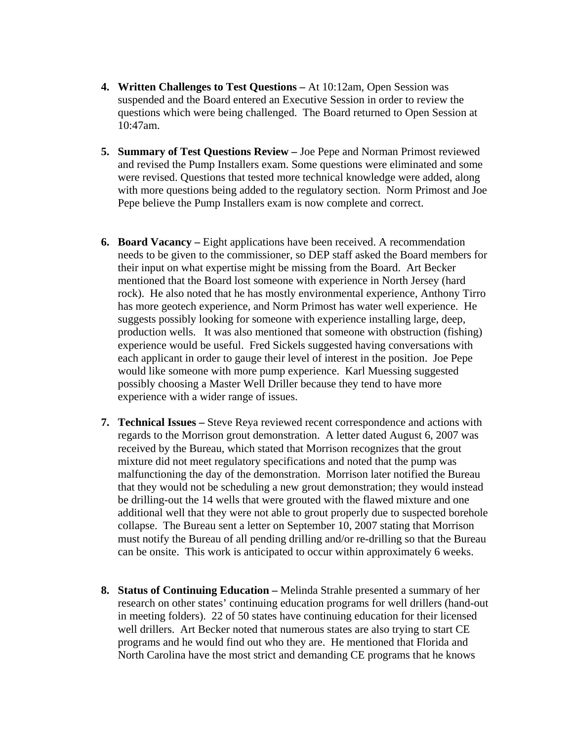- **4. Written Challenges to Test Questions** At 10:12am, Open Session was suspended and the Board entered an Executive Session in order to review the questions which were being challenged. The Board returned to Open Session at 10:47am.
- **5. Summary of Test Questions Review** Joe Pepe and Norman Primost reviewed and revised the Pump Installers exam. Some questions were eliminated and some were revised. Questions that tested more technical knowledge were added, along with more questions being added to the regulatory section. Norm Primost and Joe Pepe believe the Pump Installers exam is now complete and correct.
- **6. Board Vacancy –** Eight applications have been received. A recommendation needs to be given to the commissioner, so DEP staff asked the Board members for their input on what expertise might be missing from the Board. Art Becker mentioned that the Board lost someone with experience in North Jersey (hard rock). He also noted that he has mostly environmental experience, Anthony Tirro has more geotech experience, and Norm Primost has water well experience. He suggests possibly looking for someone with experience installing large, deep, production wells. It was also mentioned that someone with obstruction (fishing) experience would be useful. Fred Sickels suggested having conversations with each applicant in order to gauge their level of interest in the position. Joe Pepe would like someone with more pump experience. Karl Muessing suggested possibly choosing a Master Well Driller because they tend to have more experience with a wider range of issues.
- **7. Technical Issues –** Steve Reya reviewed recent correspondence and actions with regards to the Morrison grout demonstration. A letter dated August 6, 2007 was received by the Bureau, which stated that Morrison recognizes that the grout mixture did not meet regulatory specifications and noted that the pump was malfunctioning the day of the demonstration. Morrison later notified the Bureau that they would not be scheduling a new grout demonstration; they would instead be drilling-out the 14 wells that were grouted with the flawed mixture and one additional well that they were not able to grout properly due to suspected borehole collapse. The Bureau sent a letter on September 10, 2007 stating that Morrison must notify the Bureau of all pending drilling and/or re-drilling so that the Bureau can be onsite. This work is anticipated to occur within approximately 6 weeks.
- **8. Status of Continuing Education –** Melinda Strahle presented a summary of her research on other states' continuing education programs for well drillers (hand-out in meeting folders). 22 of 50 states have continuing education for their licensed well drillers. Art Becker noted that numerous states are also trying to start CE programs and he would find out who they are. He mentioned that Florida and North Carolina have the most strict and demanding CE programs that he knows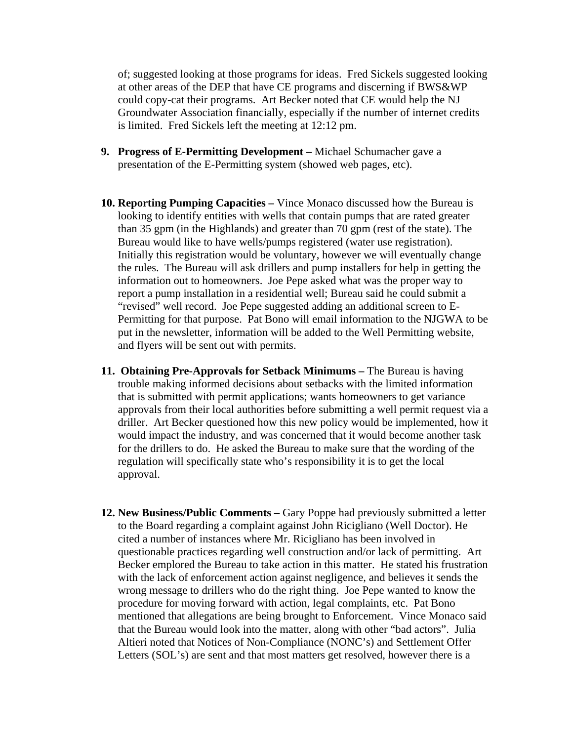of; suggested looking at those programs for ideas. Fred Sickels suggested looking at other areas of the DEP that have CE programs and discerning if BWS&WP could copy-cat their programs. Art Becker noted that CE would help the NJ Groundwater Association financially, especially if the number of internet credits is limited. Fred Sickels left the meeting at 12:12 pm.

- **9. Progress of E-Permitting Development** Michael Schumacher gave a presentation of the E-Permitting system (showed web pages, etc).
- **10. Reporting Pumping Capacities** Vince Monaco discussed how the Bureau is looking to identify entities with wells that contain pumps that are rated greater than 35 gpm (in the Highlands) and greater than 70 gpm (rest of the state). The Bureau would like to have wells/pumps registered (water use registration). Initially this registration would be voluntary, however we will eventually change the rules. The Bureau will ask drillers and pump installers for help in getting the information out to homeowners. Joe Pepe asked what was the proper way to report a pump installation in a residential well; Bureau said he could submit a "revised" well record. Joe Pepe suggested adding an additional screen to E-Permitting for that purpose. Pat Bono will email information to the NJGWA to be put in the newsletter, information will be added to the Well Permitting website, and flyers will be sent out with permits.
- **11. Obtaining Pre-Approvals for Setback Minimums** The Bureau is having trouble making informed decisions about setbacks with the limited information that is submitted with permit applications; wants homeowners to get variance approvals from their local authorities before submitting a well permit request via a driller. Art Becker questioned how this new policy would be implemented, how it would impact the industry, and was concerned that it would become another task for the drillers to do. He asked the Bureau to make sure that the wording of the regulation will specifically state who's responsibility it is to get the local approval.
- **12. New Business/Public Comments** Gary Poppe had previously submitted a letter to the Board regarding a complaint against John Ricigliano (Well Doctor). He cited a number of instances where Mr. Ricigliano has been involved in questionable practices regarding well construction and/or lack of permitting. Art Becker emplored the Bureau to take action in this matter. He stated his frustration with the lack of enforcement action against negligence, and believes it sends the wrong message to drillers who do the right thing.Joe Pepe wanted to know the procedure for moving forward with action, legal complaints, etc. Pat Bono mentioned that allegations are being brought to Enforcement. Vince Monaco said that the Bureau would look into the matter, along with other "bad actors". Julia Altieri noted that Notices of Non-Compliance (NONC's) and Settlement Offer Letters (SOL's) are sent and that most matters get resolved, however there is a